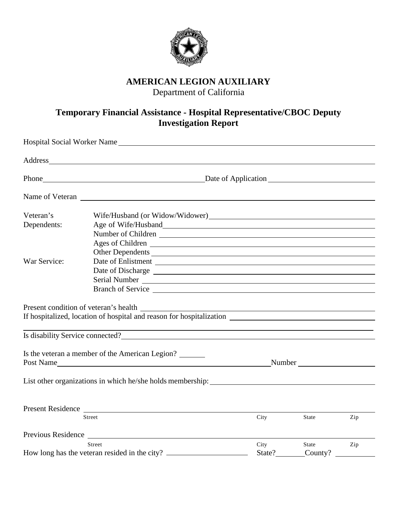

## **AMERICAN LEGION AUXILIARY**

Department of California

## **Temporary Financial Assistance - Hospital Representative/CBOC Deputy Investigation Report**

|              | Hospital Social Worker Name                                          |        |         |     |  |
|--------------|----------------------------------------------------------------------|--------|---------|-----|--|
|              | Address                                                              |        |         |     |  |
|              | Phone Date of Application                                            |        |         |     |  |
|              |                                                                      |        |         |     |  |
| Veteran's    |                                                                      |        |         |     |  |
| Dependents:  |                                                                      |        |         |     |  |
|              | Number of Children                                                   |        |         |     |  |
|              |                                                                      |        |         |     |  |
|              | Other Dependents                                                     |        |         |     |  |
| War Service: |                                                                      |        |         |     |  |
|              |                                                                      |        |         |     |  |
|              |                                                                      |        |         |     |  |
|              |                                                                      |        |         |     |  |
|              |                                                                      |        |         |     |  |
|              | If hospitalized, location of hospital and reason for hospitalization |        |         |     |  |
|              |                                                                      |        |         |     |  |
|              |                                                                      |        |         |     |  |
|              |                                                                      |        |         |     |  |
|              | Is the veteran a member of the American Legion?                      |        |         |     |  |
|              |                                                                      |        |         |     |  |
|              |                                                                      |        |         |     |  |
|              |                                                                      |        |         |     |  |
|              |                                                                      |        |         |     |  |
|              | Present Residence                                                    |        |         |     |  |
|              | Street                                                               | City   | State   | Zip |  |
|              |                                                                      |        |         |     |  |
| Street       |                                                                      | City   | State   | Zip |  |
|              | How long has the veteran resided in the city?                        | State? | County? |     |  |